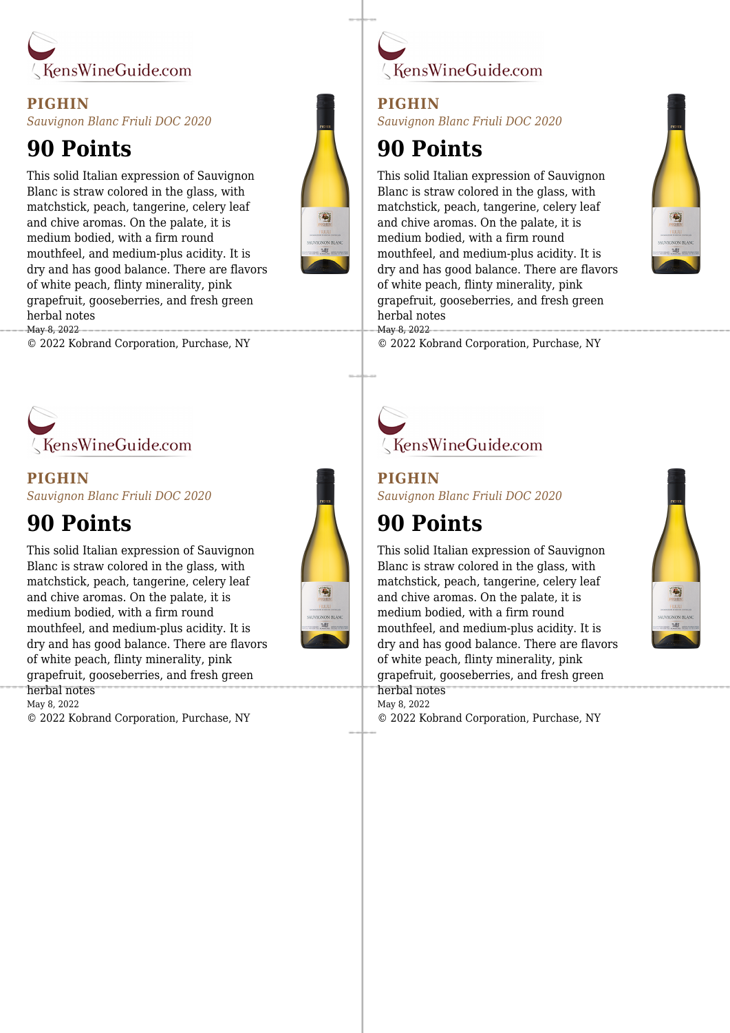

### **PIGHIN** *Sauvignon Blanc Friuli DOC 2020*

## **90 Points**

This solid Italian expression of Sauvignon Blanc is straw colored in the glass, with matchstick, peach, tangerine, celery leaf and chive aromas. On the palate, it is medium bodied, with a firm round mouthfeel, and medium-plus acidity. It is dry and has good balance. There are flavors of white peach, flinty minerality, pink grapefruit, gooseberries, and fresh green herbal notes May 8, 2022

© 2022 Kobrand Corporation, Purchase, NY



### **PIGHIN** *Sauvignon Blanc Friuli DOC 2020*

## **90 Points**

This solid Italian expression of Sauvignon Blanc is straw colored in the glass, with matchstick, peach, tangerine, celery leaf and chive aromas. On the palate, it is medium bodied, with a firm round mouthfeel, and medium-plus acidity. It is dry and has good balance. There are flavors of white peach, flinty minerality, pink grapefruit, gooseberries, and fresh green herbal notes May 8, 2022



KensWineGuide.com

### **PIGHIN**

*Sauvignon Blanc Friuli DOC 2020*

## **90 Points**

This solid Italian expression of Sauvignon Blanc is straw colored in the glass, with matchstick, peach, tangerine, celery leaf and chive aromas. On the palate, it is medium bodied, with a firm round mouthfeel, and medium-plus acidity. It is dry and has good balance. There are flavors of white peach, flinty minerality, pink grapefruit, gooseberries, and fresh green herbal notes May 8, 2022



© 2022 Kobrand Corporation, Purchase, NY

# KensWineGuide.com

**PIGHIN** *Sauvignon Blanc Friuli DOC 2020*

## **90 Points**

This solid Italian expression of Sauvignon Blanc is straw colored in the glass, with matchstick, peach, tangerine, celery leaf and chive aromas. On the palate, it is medium bodied, with a firm round mouthfeel, and medium-plus acidity. It is dry and has good balance. There are flavors of white peach, flinty minerality, pink grapefruit, gooseberries, and fresh green herbal notes May 8, 2022 © 2022 Kobrand Corporation, Purchase, NY



© 2022 Kobrand Corporation, Purchase, NY